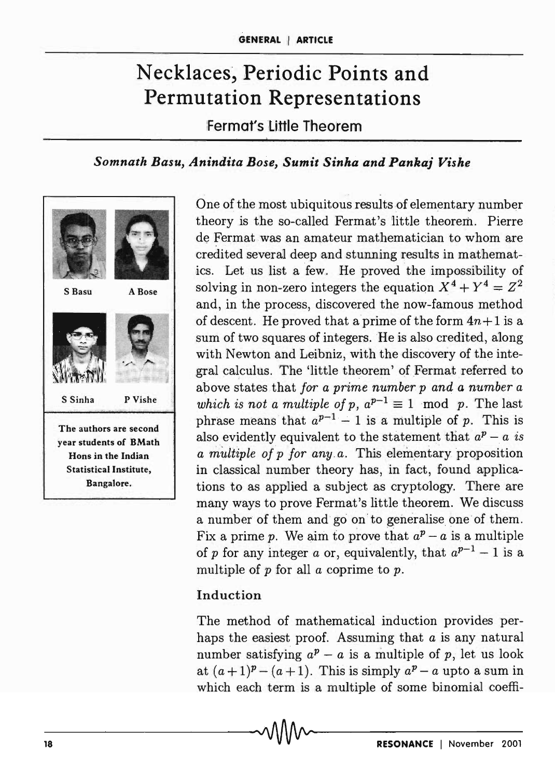# Necklaces, Periodic Points and Permutation Representations

Fermat's little Theorem

# *Somnath Basu, Anindita Bose, Sumit Sinha and Pankaj Vishe*



One of the most ubiquitous results of elementary number theory is the so-called Fermat's little theorem. Pierre de Fermat was an amateur mathematician to whom are credited several deep and stunning results in mathematics. Let us list a few. He proved the impossibility of solving in non-zero integers the equation  $X^4 + Y^4 = Z^2$ and, in the process, discovered the now-famous method of descent. He proved that a prime of the form  $4n+1$  is a sum of two squares of integers. He is also credited, along with Newton and Leibniz, with the discovery of the integral calculus. The 'little theorem' of Fermat referred to above states. that *for a prime number p and a number a which is not a multiple of p,*  $a^{p-1} \equiv 1 \mod p$ *. The last* phrase means that  $a^{p-1} - 1$  is a multiple of p. This is also evidently equivalent to the statement that  $a^p - a$  is *a multiple of p for any a.* This elementary proposition in classical number theory has, in fact, found applications to as applied a subject as cryptology. There are many ways to prove Fermat's little theorem. We discuss a number of them and go on to generalise one of them. Fix a prime p. We aim to prove that  $a^p - a$  is a multiple of p for any integer a or, equivalently, that  $a^{p-1} - 1$  is a multiple of  $p$  for all  $a$  coprime to  $p$ .

### Induction

The method of mathematical induction provides perhaps the easiest proof. Assuming that *a* is any natural number satisfying  $a^p - a$  is a multiple of p, let us look at  $(a+1)^p - (a+1)$ . This is simply  $a^p - a$  upto a sum in which each term is a multiple of some binomial coeffi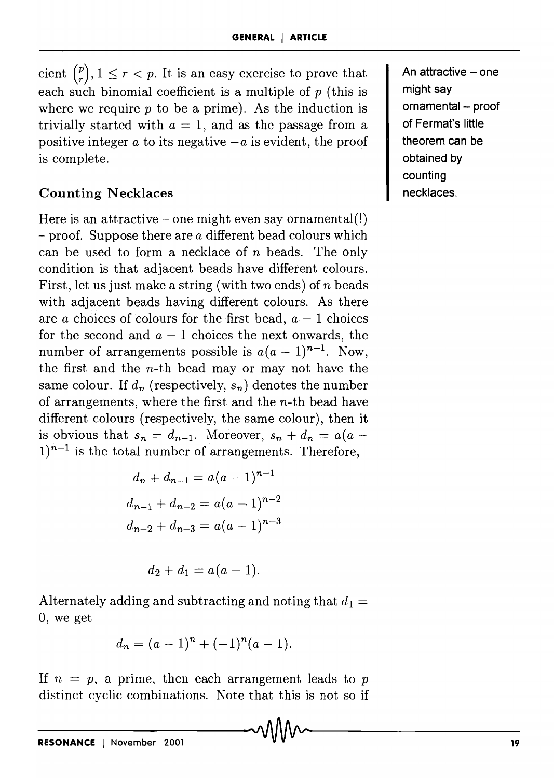cient  $\binom{p}{r}, 1 \leq r < p$ . It is an easy exercise to prove that each such binomial coefficient is a multiple of  $p$  (this is where we require  $p$  to be a prime). As the induction is trivially started with  $a = 1$ , and as the passage from a positive integer  $a$  to its negative  $-a$  is evident, the proof is complete.

### **Counting Necklaces**

Here is an attractive – one might even say ornamental(!) - proof. Suppose there are *a* different bead colours which can be used to form a necklace of *n* beads. The only condition is that adjacent beads have different colours. First, let us just make a string (with two ends) of *n* beads with adjacent beads having different colours. As there are *a* choices of colours for the first bead,  $a - 1$  choices for the second and  $a-1$  choices the next onwards, the number of arrangements possible is  $a(a-1)^{n-1}$ . Now, the first and the  $n$ -th bead may or may not have the same colour. If  $d_n$  (respectively,  $s_n$ ) denotes the number of arrangements, where the first and the  $n$ -th bead have different colours (respectively, the same colour), then it is obvious that  $s_n = d_{n-1}$ . Moreover,  $s_n + d_n = a(a 1$ <sup>n-1</sup> is the total number of arrangements. Therefore,

$$
d_n + d_{n-1} = a(a-1)^{n-1}
$$
  

$$
d_{n-1} + d_{n-2} = a(a-1)^{n-2}
$$
  

$$
d_{n-2} + d_{n-3} = a(a-1)^{n-3}
$$

$$
d_2+d_1=a(a-1).
$$

Alternately adding and subtracting and noting that  $d_1 =$ 0, we get

$$
d_n = (a-1)^n + (-1)^n (a-1).
$$

If  $n = p$ , a prime, then each arrangement leads to p distinct cyclic combinations. Note that this is not so if **An attractive - one might say ornamental - proof of Fermat's little theorem can be obtained by counting necklaces.**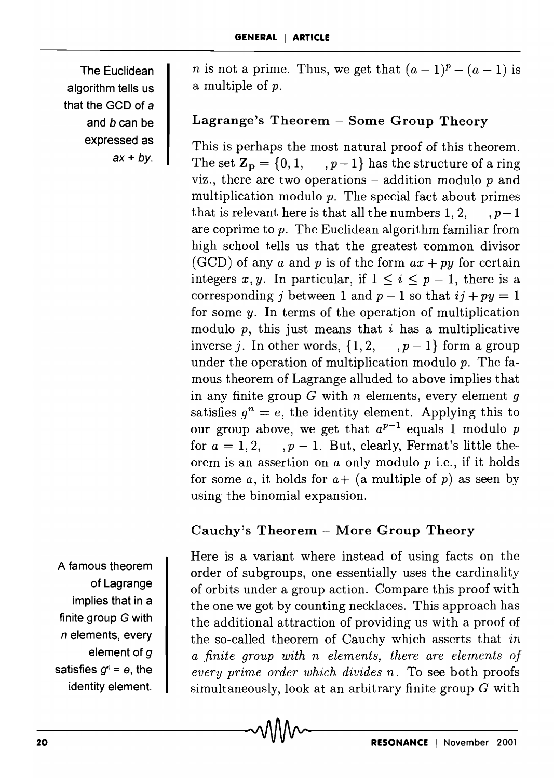The Euclidean algorithm tells us that the GCD of a and b can be expressed as  $ax + by$ .

*n* is not a prime. Thus, we get that  $(a-1)^p - (a-1)$  is a multiple of *p.* 

# Lagrange's Theorem - Some Group Theory

This is perhaps the most natural proof of this theorem. The set  $\mathbf{Z_p} = \{0, 1, \dots, p-1\}$  has the structure of a ring viz., there are two operations  $-$  addition modulo  $p$  and multiplication modulo *p.* The special fact about primes that is relevant here is that all the numbers 1, 2,  $p-1$ are coprime to p. The Euclidean algorithm familiar from high school tells us that the greatest common divisor (GCD) of any *a* and *p* is of the form  $ax + py$  for certain integers x, y. In particular, if  $1 \leq i \leq p - 1$ , there is a corresponding *j* between 1 and  $p-1$  so that  $ij + py = 1$ for some  $y$ . In terms of the operation of multiplication modulo  $p$ , this just means that  $i$  has a multiplicative inverse j. In other words,  $\{1, 2, \dots, p-1\}$  form a group under the operation of multiplication modulo  $p$ . The famous theorem of Lagrange alluded to above implies that in any finite group *G* with *n* elements, every element 9 satisfies  $g^n = e$ , the identity element. Applying this to our group above, we get that  $a^{p-1}$  equals 1 modulo p for  $a = 1, 2, \ldots, p-1$ . But, clearly, Fermat's little theorem is an assertion on *a* only modulo p i.e., if it holds for some *a*, it holds for  $a+$  (a multiple of *p*) as seen by using the binomial expansion.

### Cauchy's Theorem - More Group Theory

Here is a variant where instead of using facts on the order of subgroups, one essentially uses the cardinality of orbits under a group action. Compare this proof with the one we got by counting necklaces. This approach has the additional attraction of providing us with a proof of the so-called theorem of Cauchy which asserts that *in a finite group with n elements, there are elements of every prime order which divides n.* To see both proofs simultaneously, look at an arbitrary finite group *G* with  $\sim$ Magnuty element.  $\blacksquare$  simultaneously, look at an arbitrary finite group G with

A famous theorem of Lagrange implies that in a finite group G with *n* elements, every element of *g*  satisfies  $g^n = e$ , the identity element.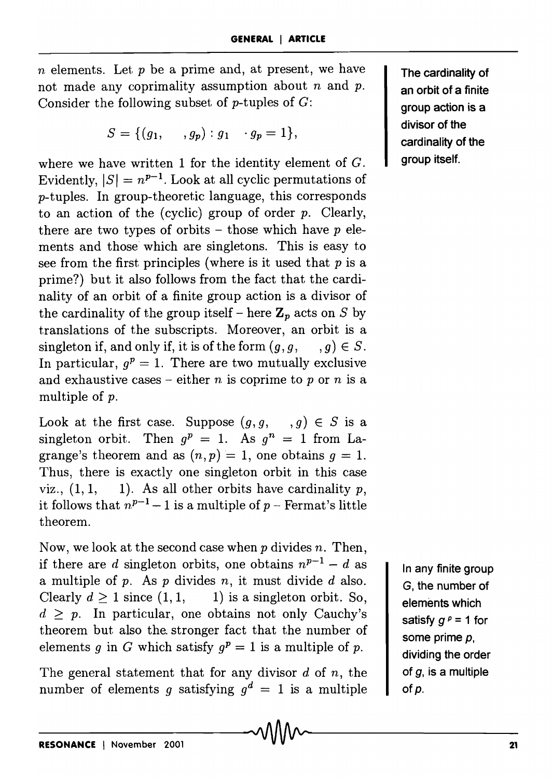*n* elements. Let *p* be a prime and, at present, we have not made any coprimality assumption about *n* and *p*. Consider the following subset of  $p$ -tuples of  $G$ :

$$
S = \{ (g_1, \ldots, g_p) : g_1 \cdots g_p = 1 \},
$$

where we have written 1 for the identity element of  $G$ . Evidently,  $|S| = n^{p-1}$ . Look at all cyclic permutations of p-tuples. In group-theoretic language, this corresponds to an action of the (cyclic) group of order  $p$ . Clearly, there are two types of orbits - those which have  $p$  elements and those' which are singletons. This is easy to see from the first principles (where is it used that *p* is a prime?) but it also follows from the fact that the cardinality of an orbit of a finite group action is a divisor of the cardinality of the group itself – here  $\mathbf{Z}_p$  acts on S by translations of the subscripts. Moreover, an orbit is a singleton if, and only if, it is of the form  $(g, g, g) \in S$ . In particular,  $q^p = 1$ . There are two mutually exclusive and exhaustive cases – either *n* is coprime to *p* or *n* is a multiple of p.

Look at the first case. Suppose  $(g, g, , g) \in S$  is a singleton orbit. Then  $g^p = 1$ . As  $g^n = 1$  from Lagrange's theorem and as  $(n, p) = 1$ , one obtains  $q = 1$ . Thus, there is exactly one singleton orbit in this case viz.,  $(1, 1, 1)$ . As all other orbits have cardinality p, it follows that  $n^{p-1}-1$  is a multiple of  $p$  – Fermat's little theorem.

Now, we look at the second case when p divides *n.* Then, if there are d singleton orbits, one obtains  $n^{p-1} - d$  as a multiple of  $p$ . As  $p$  divides  $n$ , it must divide  $d$  also. Clearly  $d > 1$  since  $(1, 1, 1)$  is a singleton orbit. So,  $d > p$ . In particular, one obtains not only Cauchy's theorem but also the. stronger fact that the number of elements *g* in G which satisfy  $q^p = 1$  is a multiple of *p*.

The general statement that for any divisor *d* of *n,* the number of elements *g* satisfying  $g^d = 1$  is a multiple

The cardinality of an orbit of a finite group action is a divisor of the cardinality of the group itself.

In any finite group G, the number of elements which satisfy  $g^p = 1$  for some prime *P,*  dividing the order of *g,* is a multiple of p.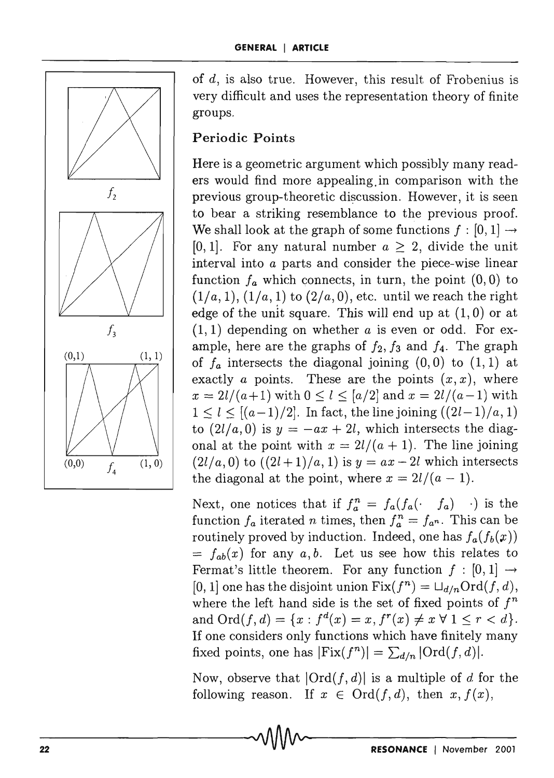

of d, is also true. However, this result of Frobenius is very difficult and uses the representation theory of finite groups.

## **Periodic Points**

Here is a geometric argument which possibly many readers would find more appealing.in comparison with the previous group-theoretic discussion. However, it is seen to bear a striking resemblance to the previous proof. We shall look at the graph of some functions  $f : [0, 1] \rightarrow$ [0, 1]. For any natural number  $a \geq 2$ , divide the unit interval into a parts and consider the piece-wise linear function  $f_a$  which connects, in turn, the point  $(0,0)$  to  $(1/a, 1), (1/a, 1)$  to  $(2/a, 0),$  etc. until we reach the right edge of the unit square. This will end up at  $(1,0)$  or at (1,1) depending on whether *a* is even or odd. For example, here are the graphs of  $f_2$ ,  $f_3$  and  $f_4$ . The graph of  $f_a$  intersects the diagonal joining  $(0,0)$  to  $(1,1)$  at exactly *a* points. These are the points  $(x, x)$ , where  $x = \frac{2l}{a+1}$  with  $0 \le l \le \frac{a}{2}$  and  $x = \frac{2l}{a-1}$  with  $1 \leq l \leq [(a-1)/2]$ . In fact, the line joining  $((2l-1)/a, 1)$ to  $(2l/a, 0)$  is  $y = -ax + 2l$ , which intersects the diagonal at the point with  $x = \frac{2l}{(a + 1)}$ . The line joining  $(2l/a, 0)$  to  $((2l+1)/a, 1)$  is  $y = ax - 2l$  which intersects the diagonal at the point, where  $x = 2l/(a - 1)$ .

Next, one notices that if  $f_a^n = f_a(f_a(\cdot \mid f_a) \mid \cdot)$  is the function  $f_a$  iterated *n* times, then  $f_a^n = f_{a^n}$ . This can be routinely proved by induction. Indeed, one has  $f_a(f_b(x))$  $= f_{ab}(x)$  for any a, b. Let us see how this relates to Fermat's little theorem. For any function  $f : [0,1] \rightarrow$ [0, 1] one has the disjoint union  $Fix(f^n) = \bigcup_{d/n} Ord(f, d),$ where the left hand side is the set of fixed points of  $f^n$ and  $\text{Ord}(f, d) = \{x : f^d(x) = x, f^r(x) \neq x \; \forall \; 1 \leq r < d\}.$ If one considers only functions which have finitely many fixed points, one has  $|\text{Fix}(f^n)| = \sum_{d/n} |\text{Ord}(f, d)|$ .

Now, observe that  $|Ord(f, d)|$  is a multiple of d for the following reason. If  $x \in \text{Ord}(f, d)$ , then  $x, f(x)$ ,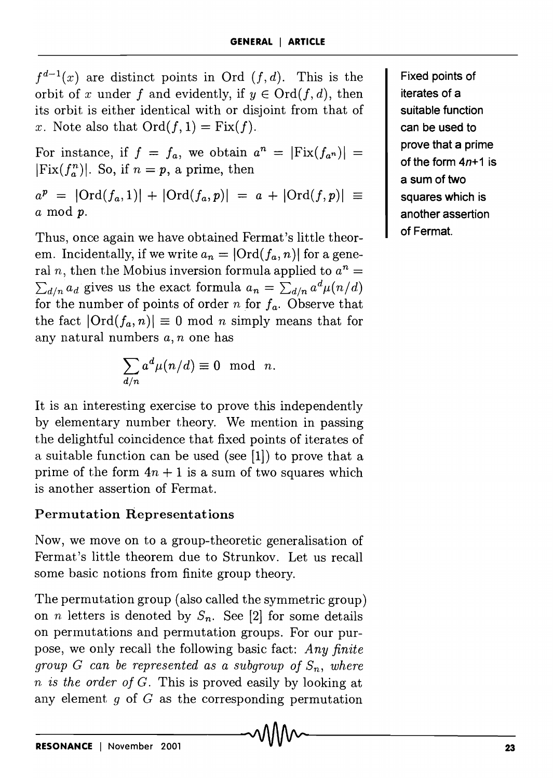$f^{d-1}(x)$  are distinct points in Ord  $(f, d)$ . This is the orbit of x under f and evidently, if  $y \in Ord(f, d)$ , then its orbit is either identical with or disjoint from that of x. Note also that  $Ord(f, 1) = Fix(f)$ .

For instance, if  $f = f_a$ , we obtain  $a^n = |\text{Fix}(f_{a^n})|$  $|Fix(f^n_a)|$ . So, if  $n = p$ , a prime, then

 $a^p = |\text{Ord}(f_a, 1)| + |\text{Ord}(f_a, p)| = a + |\text{Ord}(f, p)| \equiv 1$ *a* mod *p.* 

Thus, once again we have obtained Fermat's little theorem. Incidentally, if we write  $a_n = |\text{Ord}(f_a, n)|$  for a general *n*, then the Mobius inversion formula applied to  $a^n =$  $\sum_{d|n} a_d$  gives us the exact formula  $a_n = \sum_{d|n} a^d \mu(n/d)$ for the number of points of order *n* for *fa.* Observe that the fact  $|Ord(f_a, n)| \equiv 0 \text{ mod } n$  simply means that for any natural numbers *a, n* one has

$$
\sum_{d/n} a^d \mu(n/d) \equiv 0 \mod n.
$$

It is an interesting exercise to prove this independently by elementary number theory. We mention in passing the delightful coincidence that fixed points of iterates of a suitable function can be used (see [1]) to prove that a prime of the form  $4n + 1$  is a sum of two squares which is another assertion of Fermat.

# Permutation Representations

Now, we move on to a group-theoretic generalisation of Fermat's little theorem due to Strunkov. Let us recall some basic notions from finite group theory.

The permutation group (also called the symmetric group) on *n* letters is denoted by  $S_n$ . See [2] for some details on pennutations and permutation groups. For our purpose, we only recall the following basic fact: *Any finite group G can be represented as a subgroup of*  $S_n$ , where *n is the order of G.* This is proved easily by looking at any element *9* of G as the corresponding permutation

Fixed points of iterates of a suitable function can be used to prove that a prime of the form  $4n+1$  is a sum of two squares which is another assertion of Fermat.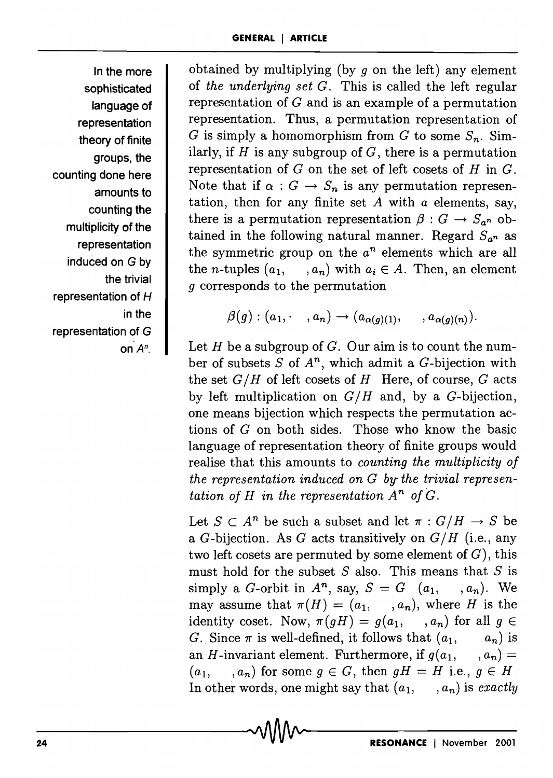In the more sophisticated language of representation theory of finite groups, the counting done here amounts to counting the multiplicity of the representation induced on G by the trivial representation of H in the representation of G

obtained by multiplying (by *9* on the left) any element of *the underlying set* G. This is called the left regular representation of G and is an example of a permutation representation. Thus, a permutation representation of *G* is simply a homomorphism from *G* to some  $S_n$ . Similarly, if  $H$  is any subgroup of  $G$ , there is a permutation representation of  $G$  on the set of left cosets of  $H$  in  $G$ . Note that if  $\alpha : G \to S_n$  is any permutation representation, then for any finite set  $A$  with  $\alpha$  elements, say, there is a permutation representation  $\beta: G \to S_{a^n}$  obtained in the following natural manner. Regard  $S_{a^n}$  as the symmetric group on the  $a^n$  elements which are all the *n*-tuples  $(a_1, \ldots, a_n)$  with  $a_i \in A$ . Then, an element *9* corresponds to the permutation

$$
\beta(g) : (a_1, \cdot , a_n) \rightarrow (a_{\alpha(g)(1)}, \cdot , a_{\alpha(g)(n)}).
$$

on *An.* Let *H* be a subgroup of *G.* Our aim is to count the number of subsets S of *An,* which admit a G-bijection with the set  $G/H$  of left cosets of  $H$  Here, of course,  $G$  acts by left multiplication on  $G/H$  and, by a G-bijection, one means bijection which respects the permutation actions of *G* on both sides. Those who know the basic language of representation theory of finite groups would realise that this amounts to *counting the multiplicity of the representation induced on G by- the trivial representation of H in the representation*  $A^n$  of  $G$ .

> Let  $S \subset A^n$  be such a subset and let  $\pi : G/H \to S$  be a G-bijection. As G acts transitively on  $G/H$  (i.e., any two left cosets are permuted by some element of  $G$ ), this must hold for the subset  $S$  also. This means that  $S$  is simply a *G*-orbit in  $A^n$ , say,  $S = G$   $(a_1, \ldots, a_n)$ . We may assume that  $\pi(H) = (a_1, \ldots, a_n)$ , where *H* is the identity coset. Now,  $\pi(gH) = g(a_1, \ldots, a_n)$  for all  $g \in$ *G.* Since  $\pi$  is well-defined, it follows that  $(a_1, \ldots, a_n)$  is an *H*-invariant element. Furthermore, if  $q(a_1, \ldots, a_n) =$  $(a_1, \ldots, a_n)$  for some  $g \in G$ , then  $gH = H$  i.e.,  $g \in H$ In other words, one might say that  $(a_1, \ldots, a_n)$  is *exactly*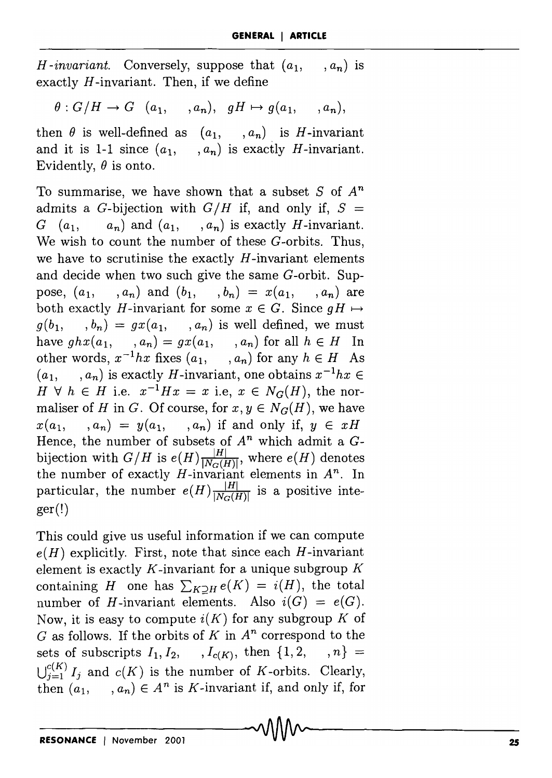$H$ *-invariant.* Conversely, suppose that  $(a_1, a_2)$  $(a_n)$  is exactly *H* -invariant. Then, if we define

 $\theta: G/H \to G$   $(a_1, \ldots, a_n), qH \mapsto q(a_1,$  $(a_n),$ 

then  $\theta$  is well-defined as  $(a_1, \ldots, a_n)$  is *H*-invariant and it is 1-1 since  $(a_1, \ldots, a_n)$  is exactly *H*-invariant. Evidently,  $\theta$  is onto.

To summarise, we have shown that a subset *S* of *An*  admits a G-bijection with  $G/H$  if, and only if,  $S =$  $G (a_1, a_n)$  and  $(a_1, a_n)$  is exactly *H*-invariant. We wish to count the number of these G-orbits. Thus, we have to scrutinise the exactly *H* -invariant elements and decide when two such give the same G-orbit. Suppose,  $(a_1, , a_n)$  and  $(b_1, , b_n) = x(a_1, , a_n)$  are both exactly *H*-invariant for some  $x \in G$ . Since  $gH \mapsto$  $g(b_1, \ldots, b_n) = gx(a_1, \ldots, a_n)$  is well defined, we must have  $ghx(a_1, \ldots, a_n) = gx(a_1, \ldots, a_n)$  for all  $h \in H$  In other words,  $x^{-1}hx$  fixes  $(a_1, \ldots, a_n)$  for any  $h \in H$  As  $(a_1, \ldots, a_n)$  is exactly *H*-invariant, one obtains  $x^{-1}hx \in$  $H \forall h \in H$  i.e.  $x^{-1}Hx = x$  i.e,  $x \in N_G(H)$ , the normaliser of *H* in *G*. Of course, for  $x, y \in N_G(H)$ , we have  $x(a_1, \ldots, a_n) = y(a_1, \ldots, a_n)$  if and only if,  $y \in xH$ Hence, the number of subsets of  $A<sup>n</sup>$  which admit a  $G$ bijection with  $G/H$  is  $e(H) \frac{|H|}{|N_G(H)|}$ , where  $e(H)$  denotes the number of exactly  $H$ -invariant elements in  $A^n$ . In particular, the number  $e(H) \frac{|H|}{|N_G(H)|}$  is a positive integer(!)

This could give us useful information if we can compute  $e(H)$  explicitly. First, note that since each  $H$ -invariant element is exactly *K* -invariant for a unique subgroup *K*  containing *H* one has  $\sum_{K\supseteq H} e(K) = i(H)$ , the total number of *H*-invariant elements. Also  $i(G) = e(G)$ . Now, it is easy to compute *i(K)* for any subgroup *K* of G as follows. If the orbits of K in  $A<sup>n</sup>$  correspond to the sets of subscripts  $I_1, I_2, \ldots, I_{c(K)}$ , then  $\{1, 2, \ldots, n\}$  =  $\bigcup_{j=1}^{c(K)} I_j$  and  $c(K)$  is the number of *K*-orbits. Clearly, then  $(a_1, \ldots, a_n) \in A^n$  is *K*-invariant if, and only if, for  $\bigcap_{n=1}^{\infty} A_n$